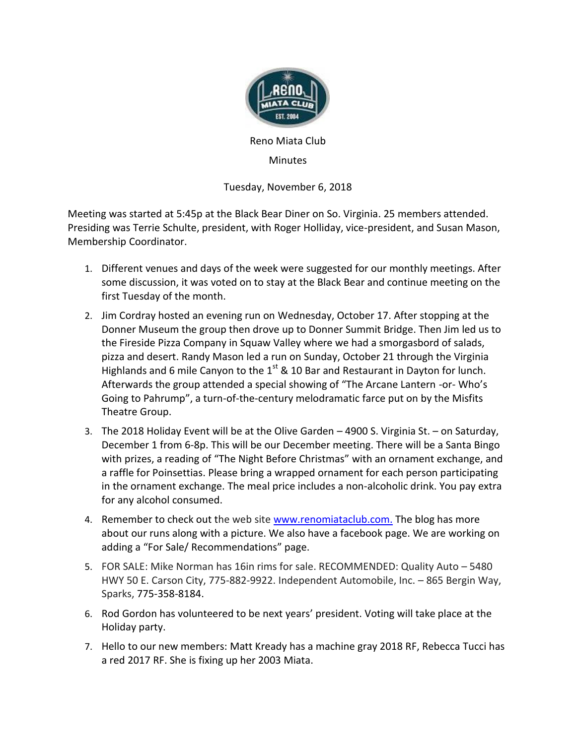

Reno Miata Club

**Minutes** 

Tuesday, November 6, 2018

Meeting was started at 5:45p at the Black Bear Diner on So. Virginia. 25 members attended. Presiding was Terrie Schulte, president, with Roger Holliday, vice-president, and Susan Mason, Membership Coordinator.

- 1. Different venues and days of the week were suggested for our monthly meetings. After some discussion, it was voted on to stay at the Black Bear and continue meeting on the first Tuesday of the month.
- 2. Jim Cordray hosted an evening run on Wednesday, October 17. After stopping at the Donner Museum the group then drove up to Donner Summit Bridge. Then Jim led us to the Fireside Pizza Company in Squaw Valley where we had a smorgasbord of salads, pizza and desert. Randy Mason led a run on Sunday, October 21 through the Virginia Highlands and 6 mile Canyon to the  $1<sup>st</sup>$  & 10 Bar and Restaurant in Dayton for lunch. Afterwards the group attended a special showing of "The Arcane Lantern -or- Who's Going to Pahrump", a turn-of-the-century melodramatic farce put on by the Misfits Theatre Group.
- 3. The 2018 Holiday Event will be at the Olive Garden 4900 S. Virginia St. on Saturday, December 1 from 6-8p. This will be our December meeting. There will be a Santa Bingo with prizes, a reading of "The Night Before Christmas" with an ornament exchange, and a raffle for Poinsettias. Please bring a wrapped ornament for each person participating in the ornament exchange. The meal price includes a non-alcoholic drink. You pay extra for any alcohol consumed.
- 4. Remember to check out the web site [www.renomiataclub.com.](http://www.renomiataclub.com/) The blog has more about our runs along with a picture. We also have a facebook page. We are working on adding a "For Sale/ Recommendations" page.
- 5. FOR SALE: Mike Norman has 16in rims for sale. RECOMMENDED: Quality Auto 5480 HWY 50 E. Carson City, 775-882-9922. Independent Automobile, Inc. – 865 Bergin Way, Sparks, [775-358-8184.](https://www.google.com/search?q=independent+automotive&oq=Independant&aqs=chrome.2.69i57j0l5.6865j0j8&sourceid=chrome&ie=UTF-8)
- 6. Rod Gordon has volunteered to be next years' president. Voting will take place at the Holiday party.
- 7. Hello to our new members: Matt Kready has a machine gray 2018 RF, Rebecca Tucci has a red 2017 RF. She is fixing up her 2003 Miata.